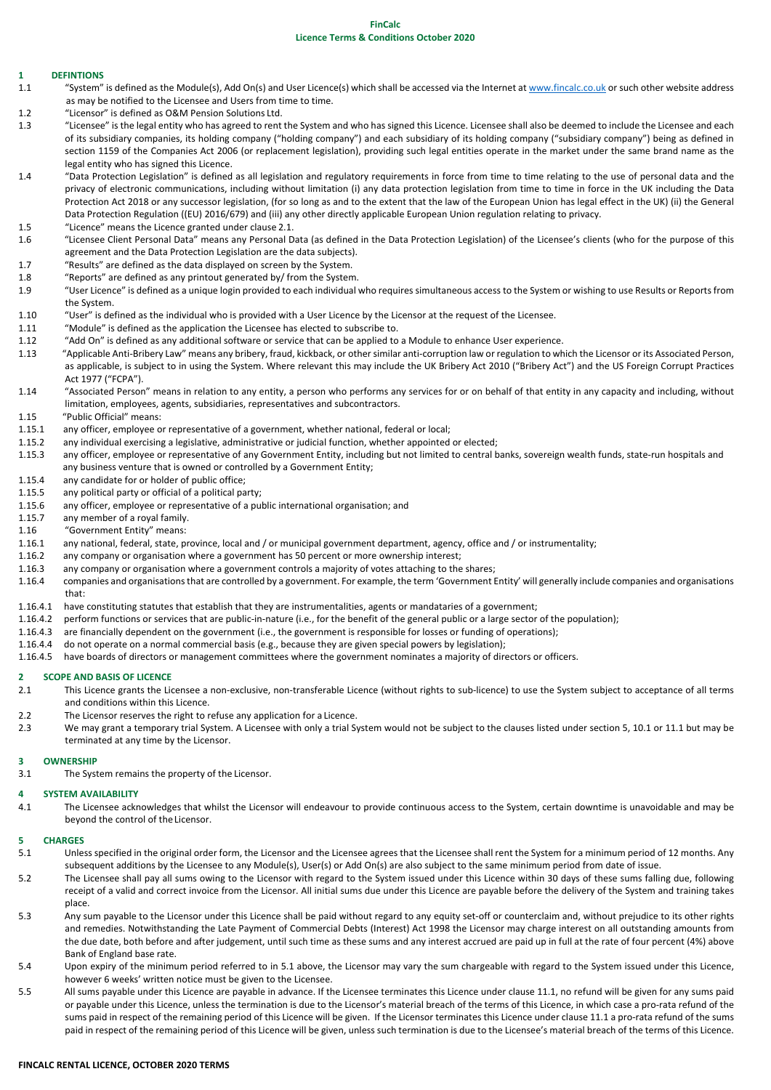# **FinCalc**

# **Licence Terms & Conditions October 2020**

# **1 DEFINTIONS**

- 1.1 "System" is defined as the Module(s), Add On(s) and User Licence(s) which shall be accessed via the Internet a[t www.fincalc.co.uk](http://www.fincalc.co.uk/) or such other website address as may be notified to the Licensee and Users from time to time.
- 1.2 "Licensor" is defined as O&M Pension Solutions Ltd.
- 1.3 "Licensee" is the legal entity who has agreed to rent the System and who has signed this Licence. Licensee shall also be deemed to include the Licensee and each of its subsidiary companies, its holding company ("holding company") and each subsidiary of its holding company ("subsidiary company") being as defined in section 1159 of the Companies Act 2006 (or replacement legislation), providing such legal entities operate in the market under the same brand name as the legal entity who has signed this Licence.
- 1.4 "Data Protection Legislation" is defined as all legislation and regulatory requirements in force from time to time relating to the use of personal data and the privacy of electronic communications, including without limitation (i) any data protection legislation from time to time in force in the UK including the Data Protection Act 2018 or any successor legislation, (for so long as and to the extent that the law of the European Union has legal effect in the UK) (ii) the General Data Protection Regulation ((EU) 2016/679) and (iii) any other directly applicable European Union regulation relating to privacy.
- 1.5 "Licence" means the Licence granted under clause 2.1.
- 1.6 "Licensee Client Personal Data" means any Personal Data (as defined in the Data Protection Legislation) of the Licensee's clients (who for the purpose of this agreement and the Data Protection Legislation are the data subjects).
- 1.7 "Results" are defined as the data displayed on screen by the System.
- 1.8 "Reports" are defined as any printout generated by/ from the System.
- 1.9 "User Licence" is defined as a unique login provided to each individual who requires simultaneous access to the System or wishing to use Results or Reports from the System.
- 1.10 "User" is defined as the individual who is provided with a User Licence by the Licensor at the request of the Licensee.
- 1.11 "Module" is defined as the application the Licensee has elected to subscribe to.
- 1.12 "Add On" is defined as any additional software or service that can be applied to a Module to enhance User experience.
- 1.13 "Applicable Anti-Bribery Law" means any bribery, fraud, kickback, or other similar anti-corruption law or regulation to which the Licensor or its Associated Person, as applicable, is subject to in using the System. Where relevant this may include the UK Bribery Act 2010 ("Bribery Act") and the US Foreign Corrupt Practices Act 1977 ("FCPA").
- 1.14"Associated Person" means in relation to any entity, a person who performs any services for or on behalf of that entity in any capacity and including, without limitation, employees, agents, subsidiaries, representatives and subcontractors.
- 1.15 "Public Official" means:
- 1.15.1 any officer, employee or representative of a government, whether national, federal or local;
- 1.15.2 any individual exercising a legislative, administrative or judicial function, whether appointed or elected;
- 1.15.3 any officer, employee or representative of any Government Entity, including but not limited to central banks, sovereign wealth funds, state-run hospitals and any business venture that is owned or controlled by a Government Entity;
- 1.15.4 any candidate for or holder of public office;
- 1.15.5 any political party or official of a political party;
- 1.15.6 any officer, employee or representative of a public international organisation; and
- 1.15.7 any member of a royal family.
- 1.16 "Government Entity" means:
- 1.16.1 any national, federal, state, province, local and / or municipal government department, agency, office and / or instrumentality;
- 1.16.2 any company or organisation where a government has 50 percent or more ownership interest;
- 1.16.3 any company or organisation where a government controls a majority of votes attaching to the shares;
- 1.16.4 companies and organisations that are controlled by a government. For example, the term 'Government Entity' will generally include companies and organisations that:
- 1.16.4.1 have constituting statutes that establish that they are instrumentalities, agents or mandataries of a government;
- 1.16.4.2 perform functions or services that are public-in-nature (i.e., for the benefit of the general public or a large sector of the population);
- 1.16.4.3 are financially dependent on the government (i.e., the government is responsible for losses or funding of operations);
- 1.16.4.4 do not operate on a normal commercial basis (e.g., because they are given special powers by legislation);
- 1.16.4.5 have boards of directors or management committees where the government nominates a majority of directors or officers.

### **2 SCOPE AND BASIS OF LICENCE**

- 2.1 This Licence grants the Licensee a non-exclusive, non-transferable Licence (without rights to sub-licence) to use the System subject to acceptance of all terms and conditions within this Licence.
- 2.2 The Licensor reserves the right to refuse any application for a Licence.
- 2.3 We may grant a temporary trial System. A Licensee with only a trial System would not be subject to the clauses listed under section 5, 10.1 or 11.1 but may be terminated at any time by the Licensor.

#### **3 OWNERSHIP**

3.1 The System remains the property of the Licensor.

#### **4 SYSTEM AVAILABILITY**

4.1 The Licensee acknowledges that whilst the Licensor will endeavour to provide continuous access to the System, certain downtime is unavoidable and may be beyond the control of the Licensor.

#### **5 CHARGES**

- 5.1 Unless specified in the original order form, the Licensor and the Licensee agrees that the Licensee shall rent the System for a minimum period of 12 months. Any subsequent additions by the Licensee to any Module(s), User(s) or Add On(s) are also subject to the same minimum period from date of issue.
- 5.2 The Licensee shall pay all sums owing to the Licensor with regard to the System issued under this Licence within 30 days of these sums falling due, following receipt of a valid and correct invoice from the Licensor. All initial sums due under this Licence are payable before the delivery of the System and training takes place.
- 5.3 Any sum payable to the Licensor under this Licence shall be paid without regard to any equity set-off or counterclaim and, without prejudice to its other rights and remedies. Notwithstanding the Late Payment of Commercial Debts (Interest) Act 1998 the Licensor may charge interest on all outstanding amounts from the due date, both before and after judgement, until such time as these sums and any interest accrued are paid up in full at the rate of four percent (4%) above Bank of England base rate.
- 5.4 Upon expiry of the minimum period referred to in 5.1 above, the Licensor may vary the sum chargeable with regard to the System issued under this Licence, however 6 weeks' written notice must be given to the Licensee.
- 5.5 All sums payable under this Licence are payable in advance. If the Licensee terminates this Licence under clause 11.1, no refund will be given for any sums paid or payable under this Licence, unless the termination is due to the Licensor's material breach of the terms of this Licence, in which case a pro-rata refund of the sums paid in respect of the remaining period of this Licence will be given. If the Licensor terminates this Licence under clause 11.1 a pro-rata refund of the sums paid in respect of the remaining period of this Licence will be given, unless such termination is due to the Licensee's material breach of the terms of this Licence.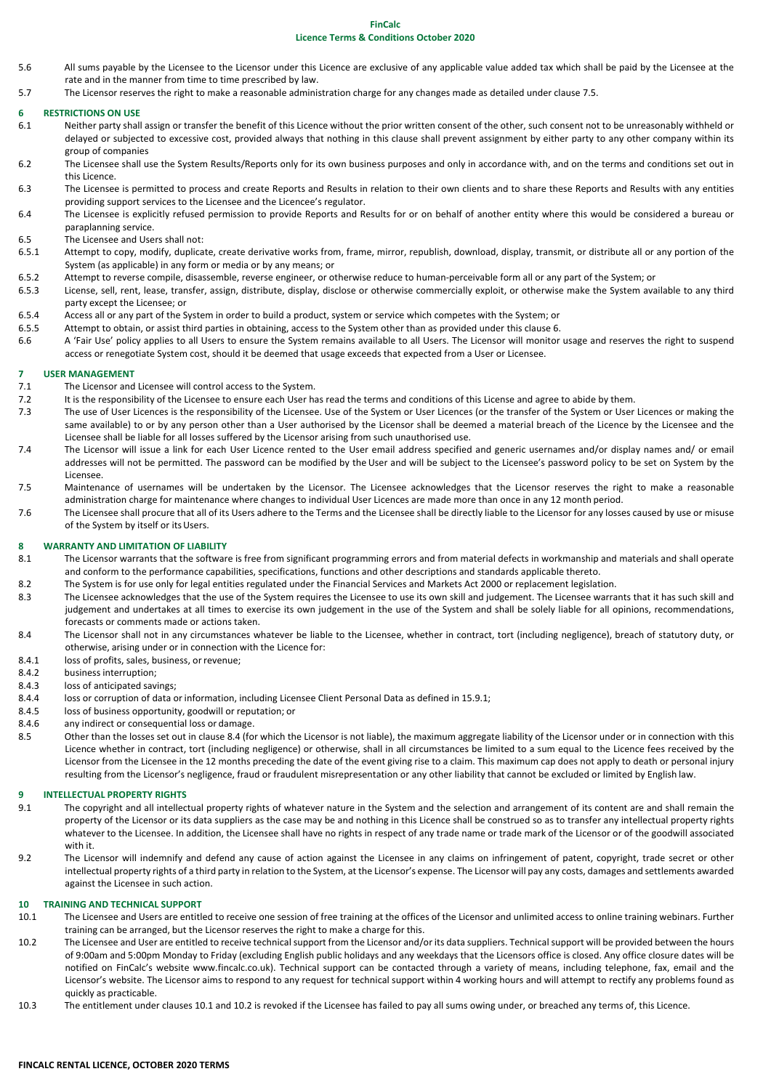# **FinCalc**

# **Licence Terms & Conditions October 2020**

- 5.6 All sums payable by the Licensee to the Licensor under this Licence are exclusive of any applicable value added tax which shall be paid by the Licensee at the rate and in the manner from time to time prescribed by law.
- 5.7 The Licensor reserves the right to make a reasonable administration charge for any changes made as detailed under clause 7.5.

## **6 RESTRICTIONS ON USE**

- 6.1 Neither party shall assign or transfer the benefit of this Licence without the prior written consent of the other, such consent not to be unreasonably withheld or delayed or subjected to excessive cost, provided always that nothing in this clause shall prevent assignment by either party to any other company within its group of companies
- 6.2 The Licensee shall use the System Results/Reports only for its own business purposes and only in accordance with, and on the terms and conditions set out in this Licence.
- 6.3 The Licensee is permitted to process and create Reports and Results in relation to their own clients and to share these Reports and Results with any entities providing support services to the Licensee and the Licencee's regulator.
- 6.4 The Licensee is explicitly refused permission to provide Reports and Results for or on behalf of another entity where this would be considered a bureau or paraplanning service.
- 6.5 The Licensee and Users shall not:<br>6.5.1 Attemnt to convertional dunlical
- Attempt to copy, modify, duplicate, create derivative works from, frame, mirror, republish, download, display, transmit, or distribute all or any portion of the System (as applicable) in any form or media or by any means; or
- 6.5.2 Attempt to reverse compile, disassemble, reverse engineer, or otherwise reduce to human-perceivable form all or any part of the System; or
- 6.5.3 License, sell, rent, lease, transfer, assign, distribute, display, disclose or otherwise commercially exploit, or otherwise make the System available to any third party except the Licensee; or
- 6.5.4 Access all or any part of the System in order to build a product, system or service which competes with the System; or
- 6.5.5 Attempt to obtain, or assist third parties in obtaining, access to the System other than as provided under this clause 6.
- 6.6 A 'Fair Use' policy applies to all Users to ensure the System remains available to all Users. The Licensor will monitor usage and reserves the right to suspend access or renegotiate System cost, should it be deemed that usage exceeds that expected from a User or Licensee.

# **7 USER MANAGEMENT**

- 7.1 The Licensor and Licensee will control access to the System.
- 7.2 It is the responsibility of the Licensee to ensure each User has read the terms and conditions of this License and agree to abide by them.
- 7.3 The use of User Licences is the responsibility of the Licensee. Use of the System or User Licences (or the transfer of the System or User Licences or making the same available) to or by any person other than a User authorised by the Licensor shall be deemed a material breach of the Licence by the Licensee and the Licensee shall be liable for all losses suffered by the Licensor arising from such unauthorised use.
- 7.4 The Licensor will issue a link for each User Licence rented to the User email address specified and generic usernames and/or display names and/ or email addresses will not be permitted. The password can be modified by the User and will be subject to the Licensee's password policy to be set on System by the Licensee.
- 7.5 Maintenance of usernames will be undertaken by the Licensor. The Licensee acknowledges that the Licensor reserves the right to make a reasonable administration charge for maintenance where changes to individual User Licences are made more than once in any 12 month period.
- 7.6 The Licensee shall procure that all of its Users adhere to the Terms and the Licensee shall be directly liable to the Licensor for any losses caused by use or misuse of the System by itself or its Users.

## **8 WARRANTY AND LIMITATION OF LIABILITY**

- 8.1 The Licensor warrants that the software is free from significant programming errors and from material defects in workmanship and materials and shall operate and conform to the performance capabilities, specifications, functions and other descriptions and standards applicable thereto.
- 8.2 The System is for use only for legal entities regulated under the Financial Services and Markets Act 2000 or replacement legislation.
- 8.3 The Licensee acknowledges that the use of the System requires the Licensee to use its own skill and judgement. The Licensee warrants that it has such skill and judgement and undertakes at all times to exercise its own judgement in the use of the System and shall be solely liable for all opinions, recommendations, forecasts or comments made or actions taken.
- 8.4 The Licensor shall not in any circumstances whatever be liable to the Licensee, whether in contract, tort (including negligence), breach of statutory duty, or otherwise, arising under or in connection with the Licence for:
- 8.4.1 loss of profits, sales, business, or revenue;
- 8.4.2 business interruption;
- 8.4.3 loss of anticipated savings;
- 8.4.4 loss or corruption of data or information, including Licensee Client Personal Data as defined in 15.9.1;
- 8.4.5 loss of business opportunity, goodwill or reputation; or
- 8.4.6 any indirect or consequential loss or damage.
- 8.5 Other than the losses set out in clause 8.4 (for which the Licensor is not liable), the maximum aggregate liability of the Licensor under or in connection with this Licence whether in contract, tort (including negligence) or otherwise, shall in all circumstances be limited to a sum equal to the Licence fees received by the Licensor from the Licensee in the 12 months preceding the date of the event giving rise to a claim. This maximum cap does not apply to death or personal injury resulting from the Licensor's negligence, fraud or fraudulent misrepresentation or any other liability that cannot be excluded or limited by English law.

### **9 INTELLECTUAL PROPERTY RIGHTS**

- 9.1 The copyright and all intellectual property rights of whatever nature in the System and the selection and arrangement of its content are and shall remain the property of the Licensor or its data suppliers as the case may be and nothing in this Licence shall be construed so as to transfer any intellectual property rights whatever to the Licensee. In addition, the Licensee shall have no rights in respect of any trade name or trade mark of the Licensor or of the goodwill associated with it.
- 9.2 The Licensor will indemnify and defend any cause of action against the Licensee in any claims on infringement of patent, copyright, trade secret or other intellectual property rights of a third party in relation to the System, at the Licensor's expense. The Licensor will pay any costs, damages and settlements awarded against the Licensee in such action.

# **10 TRAINING AND TECHNICAL SUPPORT**

- 10.1 The Licensee and Users are entitled to receive one session of free training at the offices of the Licensor and unlimited access to online training webinars. Further training can be arranged, but the Licensor reserves the right to make a charge for this.
- 10.2 The Licensee and User are entitled to receive technical support from the Licensor and/or its data suppliers. Technical support will be provided between the hours of 9:00am and 5:00pm Monday to Friday (excluding English public holidays and any weekdays that the Licensors office is closed. Any office closure dates will be notified on FinCalc's website www.fincalc.co.uk). Technical support can be contacted through a variety of means, including telephone, fax, email and the Licensor's website. The Licensor aims to respond to any request for technical support within 4 working hours and will attempt to rectify any problems found as quickly as practicable.
- 10.3 The entitlement under clauses 10.1 and 10.2 is revoked if the Licensee has failed to pay all sums owing under, or breached any terms of, this Licence.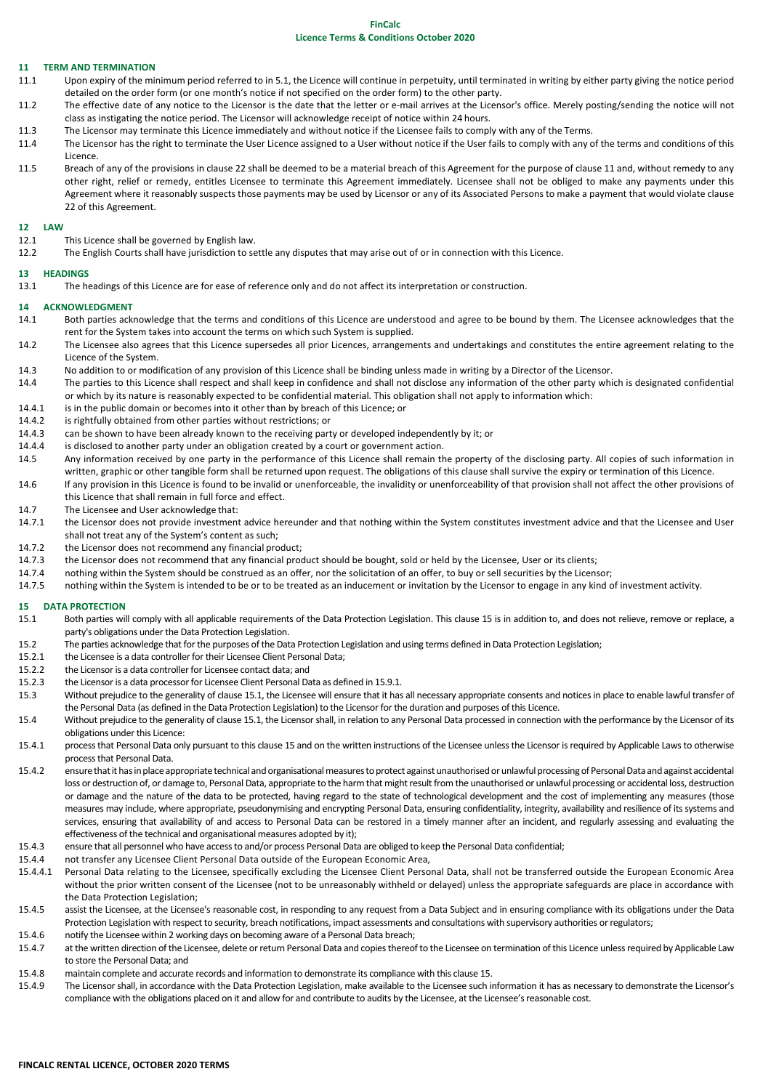# **FinCalc**

# **Licence Terms & Conditions October 2020**

#### **11 TERM AND TERMINATION**

- 11.1 Upon expiry of the minimum period referred to in 5.1, the Licence will continue in perpetuity, until terminated in writing by either party giving the notice period detailed on the order form (or one month's notice if not specified on the order form) to the other party.
- 11.2 The effective date of any notice to the Licensor is the date that the letter or e-mail arrives at the Licensor's office. Merely posting/sending the notice will not class as instigating the notice period. The Licensor will acknowledge receipt of notice within 24 hours.
- 11.3 The Licensor may terminate this Licence immediately and without notice if the Licensee fails to comply with any of the Terms.
- 11.4 The Licensor has the right to terminate the User Licence assigned to a User without notice if the User fails to comply with any of the terms and conditions of this Licence.
- 11.5 Breach of any of the provisions in clause 22 shall be deemed to be a material breach of this Agreement for the purpose of clause 11 and, without remedy to any other right, relief or remedy, entitles Licensee to terminate this Agreement immediately. Licensee shall not be obliged to make any payments under this Agreement where it reasonably suspects those payments may be used by Licensor or any of its Associated Persons to make a payment that would violate clause 22 of this Agreement.

#### **12 LAW**

- 12.1 This Licence shall be governed by English law.
- 12.2 The English Courts shall have jurisdiction to settle any disputes that may arise out of or in connection with this Licence.

#### **13 HEADINGS**

13.1 The headings of this Licence are for ease of reference only and do not affect its interpretation or construction.

#### **14 ACKNOWLEDGMENT**

- 14.1 Both parties acknowledge that the terms and conditions of this Licence are understood and agree to be bound by them. The Licensee acknowledges that the rent for the System takes into account the terms on which such System is supplied.
- 14.2 The Licensee also agrees that this Licence supersedes all prior Licences, arrangements and undertakings and constitutes the entire agreement relating to the Licence of the System.
- 14.3 No addition to or modification of any provision of this Licence shall be binding unless made in writing by a Director of the Licensor.
- 14.4 The parties to this Licence shall respect and shall keep in confidence and shall not disclose any information of the other party which is designated confidential or which by its nature is reasonably expected to be confidential material. This obligation shall not apply to information which:
- 14.4.1 is in the public domain or becomes into it other than by breach of this Licence; or
- 14.4.2 is rightfully obtained from other parties without restrictions; or 14.4.3 can be shown to have been already known to the receiving part
- can be shown to have been already known to the receiving party or developed independently by it; or
- 14.4.4 is disclosed to another party under an obligation created by a court or government action.
- 14.5 Any information received by one party in the performance of this Licence shall remain the property of the disclosing party. All copies of such information in written, graphic or other tangible form shall be returned upon request. The obligations of this clause shall survive the expiry or termination of this Licence.
- 14.6 If any provision in this Licence is found to be invalid or unenforceable, the invalidity or unenforceability of that provision shall not affect the other provisions of this Licence that shall remain in full force and effect.
- 14.7 The Licensee and User acknowledge that:
- 14.7.1 the Licensor does not provide investment advice hereunder and that nothing within the System constitutes investment advice and that the Licensee and User shall not treat any of the System's content as such;
- 14.7.2 the Licensor does not recommend any financial product;
- 14.7.3 the Licensor does not recommend that any financial product should be bought, sold or held by the Licensee, User or its clients;
- 14.7.4 nothing within the System should be construed as an offer, nor the solicitation of an offer, to buy or sell securities by the Licensor;
- 14.7.5 nothing within the System is intended to be or to be treated as an inducement or invitation by the Licensor to engage in any kind of investment activity.

# **15 DATA PROTECTION**

- Both parties will comply with all applicable requirements of the Data Protection Legislation. This clause 15 is in addition to, and does not relieve, remove or replace, a party's obligations under the Data Protection Legislation.
- 15.2 The parties acknowledge that for the purposes of the Data Protection Legislation and using terms defined in Data Protection Legislation;
- 15.2.1 the Licensee is a data controller for their Licensee Client Personal Data;
- 15.2.2 the Licensor is a data controller for Licensee contact data; and
- 15.2.3 the Licensor is a data processor for Licensee Client Personal Data as defined in 15.9.1.
- 15.3 Without prejudice to the generality of clause 15.1, the Licensee will ensure that it has all necessary appropriate consents and notices in place to enable lawful transfer of the Personal Data (as defined in the Data Protection Legislation) to the Licensor for the duration and purposes of this Licence.
- 15.4 Without prejudice to the generality of clause 15.1, the Licensor shall, in relation to any Personal Data processed in connection with the performance by the Licensor of its obligations under this Licence:
- 15.4.1 process that Personal Data only pursuant to this clause 15 and on the written instructions of the Licensee unless the Licensor is required by Applicable Laws to otherwise process that Personal Data.
- 15.4.2 ensure that it has in place appropriate technical and organisational measures to protect against unauthorised or unlawful processing of Personal Data and against accidental loss or destruction of, or damage to, Personal Data, appropriate to the harm that might result from the unauthorised or unlawful processing or accidental loss, destruction or damage and the nature of the data to be protected, having regard to the state of technological development and the cost of implementing any measures (those measures may include, where appropriate, pseudonymising and encrypting Personal Data, ensuring confidentiality, integrity, availability and resilience of its systems and services, ensuring that availability of and access to Personal Data can be restored in a timely manner after an incident, and regularly assessing and evaluating the effectiveness of the technical and organisational measures adopted by it);
- 15.4.3 ensure that all personnel who have access to and/or process Personal Data are obliged to keep the Personal Data confidential;
- 15.4.4 not transfer any Licensee Client Personal Data outside of the European Economic Area,
- 15.4.4.1 Personal Data relating to the Licensee, specifically excluding the Licensee Client Personal Data, shall not be transferred outside the European Economic Area without the prior written consent of the Licensee (not to be unreasonably withheld or delayed) unless the appropriate safeguards are place in accordance with the Data Protection Legislation;
- 15.4.5 assist the Licensee, at the Licensee's reasonable cost, in responding to any request from a Data Subject and in ensuring compliance with its obligations under the Data Protection Legislation with respect to security, breach notifications, impact assessments and consultations with supervisory authorities or regulators;
- 15.4.6 notify the Licensee within 2 working days on becoming aware of a Personal Data breach;
- 15.4.7 at the written direction of the Licensee, delete or return Personal Data and copies thereof to the Licensee on termination of this Licence unless required by Applicable Law to store the Personal Data; and
- 15.4.8 maintain complete and accurate records and information to demonstrate its compliance with this clause 15.
- 15.4.9 The Licensor shall, in accordance with the Data Protection Legislation, make available to the Licensee such information it has as necessary to demonstrate the Licensor's compliance with the obligations placed on it and allow for and contribute to audits by the Licensee, at the Licensee's reasonable cost.